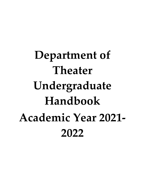**Department of Theater Undergraduate Handbook Academic Year 2021- 2022**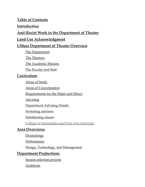## **Table of Contents**

### **[Introduction](#page-3-0)**

# **[Anti-Racist Work in the Department of Theater](#page-4-0)**

# **[Land Use Acknowledgment](#page-4-1)**

# **[UMass Department of Theater Overview](#page-5-0)**

[The Department](#page-5-1)

[The Theaters](#page-5-2)

[The Academic Mission](#page-6-0)

[The Faculty and Staff](#page-6-1)

# **[Curriculum](#page-7-0)**

[Areas of Study](#page-7-1)

[Areas of Concentration](#page-7-2)

[Requirements for the Major and Minor](#page-7-3)

**[Advising](#page-8-0)** 

[Department Advising Details](#page-8-1)

[Switching advisors](#page-9-0)

[Substituting classes](#page-9-1)

[College of Humanities and Fine Arts Advising](#page-9-2)

# **[Area Overviews](#page-11-0)**

**[Dramaturgy](#page-11-1)** 

[Performance](#page-11-2)

[Design, Technology, and Management](#page-11-3)

# **[Department Productions](#page-13-0)**

[Season selection process](#page-13-1) 

[Auditions](#page-14-0)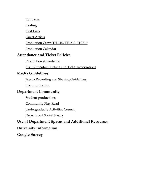[Callbacks](#page-14-1)

**[Casting](#page-14-2)** 

[Cast Lists](#page-15-0)

[Guest Artists](#page-15-1)

[Production Crew: TH 110, TH 210, TH 310](#page-16-0)

[Production Calendar](#page-16-1)

## **[Attendance and Ticket Policies](#page-17-0)**

[Production Attendance](#page-17-1) 

[Complimentary Tickets and Ticket Reservations](#page-17-2) 

### **[Media Guidelines](#page-18-0)**

[Media Recording and Sharing Guidelines](#page-18-1) 

**Communication** 

## **[Department Community](#page-19-0)**

[Student productions](#page-19-1)

[Community Play Read](#page-19-2) 

[Undergraduate Activities Council](#page-19-3)

[Department Social Media](#page-19-4)

## **[Use of Department Spaces and Additional Resources](#page-20-0)**

# **[University Information](#page-21-0)**

**[Google Survey](#page-22-0)**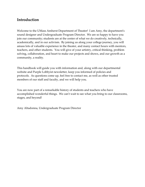## <span id="page-3-0"></span>**Introduction**

Welcome to the UMass Amherst Department of Theater! I am Amy, the department's sound designer and Undergraduate Program Director. We are so happy to have you join our community; students are at the center of what we do creatively, technically, academically, and in our activism. By joining us along your college journey, you will amass lots of valuable experience in the theater, and many contact hours with mentors, teachers, and other students. You will give of your artistry, critical thinking, problem solving, collaboration, and heart to make our projects and shows, and our growth as a community, a reality.

This handbook will guide you with information and, along with our departmental website and Purple Lobbyist newsletter, keep you informed of policies and protocols. As questions come up, feel free to contact me, as well as other trusted members of our staff and faculty, and we will help you.

You are now part of a remarkable history of students and teachers who have accomplished wonderful things. We can't wait to see what you bring to our classrooms, stages, and beyond!

Amy Altadonna, Undergraduate Program Director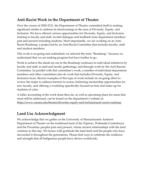# <span id="page-4-0"></span>**Anti-Racist Work in the Department of Theater**

Over the course of 2020-2121, the Department of Theater committed itself to making significant strides to address its shortcomings in the area of Diversity, Equity, and Inclusion. We have offered various opportunities for Diversity, Equity, and Inclusion training to faculty and staff, invited dialogue and feedback from department members past and present including students. Most importantly, we are working on an Anti-Racist Roadmap, a project led by an Anti-Racist Committee that includes faculty, staff, and student members.

This work is on-going and unfinished; we selected the term "Roadmap," because we understand that we are making progress but have further to go.

Work to achieve the ideals set out in the Roadmap continues in individual initiatives by faculty and staff, in staff and faculty gatherings, and through work by the Anti-Racism Committee. In parallel with that committee's work, a number of individual department members and other committees also do work that includes Diversity, Equity, and Inclusion focus. Recent examples of this type of work include an on-going effort to review the major to address barriers to access, bolstering mentorship opportunities for new faculty, and offering a workshop specifically focused on hair and make-up for students of color .

A fuller accounting of the work done thus far, as well as upcoming plans for areas that must still be addressed, can be found on the department's website at: <https://www.umass.edu/theater/diversity-equity-and-inclusionanti-racist-roadmap>

# <span id="page-4-1"></span>**Land Use Acknowledgment**

We acknowledge that we gather as the University of Massachusetts Amherst Department of Theater on the traditional land of the Nipmuc, Wabanaki Confederacy and the Pocumtuc peoples past and present, whose ancient relationships with the land continue to this day. We honor with gratitude the land itself and the people who have stewarded it throughout the generations. Please find ways to celebrate the resilience and strength that all Indigenous people have shown worldwide.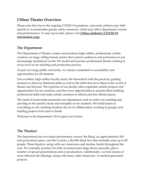# <span id="page-5-0"></span>**UMass Theater Overview**

Please note that due to the ongoing COVID-19 pandemic, university policies may shift quickly to accommodate greater safety measures, which may affect department courses and performances. To stay up-to-date, please visit **[UMass Amherst's COVID-19](https://www.umass.edu/coronavirus/?_gl=1*1b9gdp6*_ga*MTMzMzk5MTQ3NC4xNTA0MTIzNzE3*_ga_21RLS0L7EB*MTYyOTc0MjI3MC4yMDUuMS4xNjI5NzQzNTg0LjA.&_ga=2.241078211.1926473915.1629721865-1333991474.1504123717)  [information page](https://www.umass.edu/coronavirus/?_gl=1*1b9gdp6*_ga*MTMzMzk5MTQ3NC4xNTA0MTIzNzE3*_ga_21RLS0L7EB*MTYyOTc0MjI3MC4yMDUuMS4xNjI5NzQzNTg0LjA.&_ga=2.241078211.1926473915.1629721865-1333991474.1504123717)**.

### <span id="page-5-1"></span>**The Department**

The Department of Theater creates and produces high-caliber, professional, artistic creations on stage, telling human stories that connect audiences and performers in our increasingly mediatized world. We model and practice professional theater-making at every level of our teaching and production process.

As part of a large public university, we remain committed to accessibility and opportunities for all students.

Our excellent, high-caliber faculty marry the theoretical with the practical, guiding students to discover theatrical skills as well as life skills that serve them in the world of theater and beyond. The expertise of our faculty often engenders artistic projects and opportunities for our students, and they have opportunities to practice their budding professional skills and make artistic creations in official and less official spaces.

The spirit of mentorship permeates our department, and we tailor our teaching and advising to the specific needs and strengths of our students. We build teams in everything we do, teaching students the art of collaboration, working in groups, and tackling projects from start to finish.

Welcome to the department. We're glad you're here.

### <span id="page-5-2"></span>**The Theaters**

The department has two major performance venues: the Rand, an approximately 450 seat proscenium space, and the Curtain, a flexible black box that normally seats up to 80 people. These theaters, along with our classrooms and studios, bustle throughout the year. We normally produce 4-6 fully mounted main stage shows annually, plus a number of special presentations and co-productions. Additionally, we host dozens of more informal lab offerings, along with many other classroom- or student-generated projects.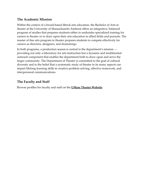#### <span id="page-6-0"></span>**The Academic Mission**

Within the context of a broad-based liberal arts education, the Bachelor of Arts in theater at the University of Massachusetts Amherst offers an integrative, balanced program of studies that prepares students either to undertake specialized training for careers in theater or to draw upon their arts education in allied fields and pursuits. The master of fine arts program in theater prepares students to compete effectively for careers as directors, designers, and dramaturgs.

In both programs, a production season is central to the department's mission providing not only a laboratory for arts instruction but a dynamic and multifaceted outreach component that enables the department both to draw upon and serve the larger community. The Department of Theater is committed to the goal of cultural diversity and to the belief that a systematic study of theater in its many aspects can impart lifelong learning skills in creative problem-solving, effective teamwork, and interpersonal communications.

### <span id="page-6-1"></span>**The Faculty and Staff**

Browse profiles for faculty and staff on the **[UMass Theater Website](http://www.umass.edu/theater/faculty)**.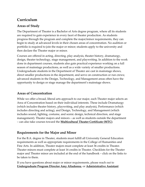# <span id="page-7-0"></span>**Curriculum**

#### <span id="page-7-1"></span>**Areas of Study**

The Department of Theater is a Bachelor of Arts degree program, where all its students are required to gain experience in every facet of theater production. As students progress through the program and complete the major/minor requirements, they can begin to study at advanced levels in their chosen areas of concentration. No audition or portfolio is required to join the major or minor; students apply to the university and then declare the Theater major or minor.

Courses are offered in acting, directing, play analysis, theater history, dramaturgy, design, theater technology, stage management, and playwriting. In addition to the work done in department courses, students also gain practical experience working on a full season of mainstage productions, as well as a wide variety of smaller productions. Undergraduate students in the Department of Theater are cast in mainstage shows, direct smaller productions in the department, and serve on construction or run crews; advanced students in the Design, Technology, and Management areas often have the opportunity to design or stage manage the department's mainstage shows.

### <span id="page-7-2"></span>**Areas of Concentration**

While we offer a broad, liberal arts approach to our major, each Theater major selects an Area of Concentration based on their individual interests. These include Dramaturgy (which includes theater history, playwriting, and play analysis), Performance (which includes directing and acting), and Design, Technology, and Management (which includes sound, lighting, costume, and scenic design, technical direction, and stage management). Theater majors and minors – as well as students outside the department – can also take courses toward the **[Multicultural Theater Certificate](https://www.umass.edu/theater/multicultural-theater-certificate) (MTC)**.

#### <span id="page-7-3"></span>**Requirements for the Major and Minor**

For the B.A. degree in Theater, students must fulfill all University General Education requirements as well as appropriate requirements in the College of Humanities and Fine Arts. In addition, Theater majors must complete at least 36 credits in Theater. Theater minors must complete at least 16 credits in Theater. Checklists for the Theater major and Theater minor are included at the end of the handbook – click on the links to be taken to them.

If you have questions about major or minor requirements, please reach out to **[Undergraduate Program Director Amy Altadonna](mailto:altadonna@theater.umass.edu)**, or **[Administrative Assistant](mailto:bsherwood@theater.umass.edu)**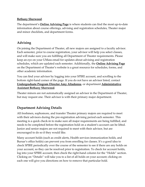#### **[Bethany Sherwood](mailto:bsherwood@theater.umass.edu)**.

The department's **[Online Advising Page](https://www.umass.edu/theater/online-advising-information)** is where students can find the most up-to-date information about course offerings, advising and registration schedules, Theater major and minor checklists, and department forms.

#### <span id="page-8-0"></span>**Advising**

On joining the Department of Theater, all new majors are assigned to a faculty advisor. Each semester, prior to course registration, your advisor will help you select classes, and will make sure you are fulfilling all Department of Theater requirements. Please keep an eye on your UMass email for updates about advising and registration schedules, which are updated each semester. Additionally, the **[Online Advising Page](https://www.umass.edu/theater/online-advising-information)** on the Department of Theater's website is a great resource for schedules, forms, and other academic information.

You can find your advisor by logging into your SPIRE account, and scrolling to the bottom right-hand corner of the page. If you do not have an advisor listed, contact **[Undergraduate Program Director Amy Altadonna](mailto:altadonna@theater.umass.edu)**, or department **[Administrative](mailto:bsherwood@theater.umass.edu)  [Assistant Bethany Sherwood](mailto:bsherwood@theater.umass.edu)**.

Theater minors are not automatically assigned an advisor in the Department of Theater, but may request one. Their advisor is with their primary major department.

### <span id="page-8-1"></span>**Department Advising Details**

All freshmen, sophomore, and transfer Theater primary majors are required to meet with their advisors during the pre-registration advising period each semester. This meeting is a quick check-in to make sure all major requirements are being fulfilled, and needs to be completed before the registration hold on a student's account can be lifted. Junior and senior majors are not required to meet with their advisor, but are encouraged to do so if they would like.

Many account holds (such as credit alerts, Health services immunization holds, and Bursar's office holds) can prevent you from enrolling for classes. It's a good idea to check SPIRE periodically over the course of the semester to see if there are any holds on your account, so they can be resolved prior to registration. To check for account holds, log into your SPIRE account, then check the right-hand column for the "Holds" section. Clicking on "Details" will take you to a list of all holds on your account; clicking on each one will give you directions on how to remove that particular hold.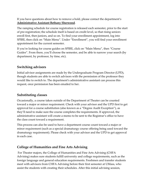If you have questions about how to remove a hold, please contact the department's **[Administrative Assistant](mailto:bsherwood@theater.umass.edu) Bethany Sherwood**.

The ramping schedule for course registration is released each semester, prior to the start of pre-registration; the schedule itself is based on credit level, so that rising seniors enroll first, then juniors, and so on. To find your enrollment appointment, log into SPIRE, then click on "Main Menu". Under "Enrollment", you will find your enrollment appointment for the current semester.

If you're looking for course guides on SPIRE, click on "Main Menu", then "Course Guides". From there, you'll choose the semester, and be able to narrow your search (by department, by professor, by time, etc).

#### <span id="page-9-0"></span>**Switching advisors**

Initial advisor assignments are made by the Undergraduate Program Director (UPD), though students are able to switch advisors with the permission of the professor they would like to switch to. The department's administrative assistant can process this request, once permission has been emailed to her.

#### <span id="page-9-1"></span>**Substituting classes**

Occasionally, a course taken outside of the Department of Theater can be counted toward a major or minor requirement. Check with your advisor and the UPD first to get approval for a course substitution (also known as a "Degree Audit Exception"), as they'll need to make sure the course completes the requirements. If approved, the administrative assistant will create a memo to be sent to the Registrar's office to have the class count toward a requirement.

This process can also be used to have a department course count toward a major or minor requirement (such as a special dramaturgy course offering being used toward the dramaturgy requirement). Please check with your advisor and the UPD to get approval in each case.

### <span id="page-9-2"></span>**College of Humanities and Fine Arts Advising**

For Theater majors, the College of Humanities and Fine Arts Advising (CHFA Advising) makes sure students fulfill university and college requirements, such as the foreign language and general education requirements. Freshmen and transfer students meet with advisors from CHFA Advising before their first semester at UMass, who assist the students with creating their schedules. After this initial advising session,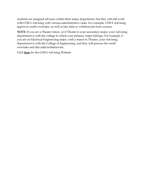students are assigned advisors within their major department, but they will still work with CHFA Advising with various administrative tasks. For example, CHFA Advising approves credit overrides, as well as late adds or withdrawals from courses.

**NOTE:** If you are a Theater minor, or if Theater is your secondary major, your Advising department is with the college to which your primary major belongs. For example, if you are an Electrical Engineering major, with a minor in Theater, your Advising department is with the College of Engineering, and they will process the credit overrides and late adds/withdrawals.

Click **[here](https://www.umass.edu/hfa/advising)** for the CHFA Advising Website.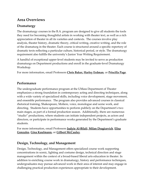# <span id="page-11-0"></span>**Area Overviews**

#### <span id="page-11-1"></span>**Dramaturgy**

The dramaturgy courses in the B.A. program are designed to give all students the tools they need for becoming thoughtful artists in working with theater text, as well as a rich appreciation of theater in all its varieties and contexts. The courses involve play analysis, theater history, dramatic theory, critical writing, creative writing, and the role of the dramaturg in the theater. Each course is structured around a specific repertory of dramatic texts reflecting a particular culture, historical period, or style. The dramaturgy requirement also fulfills the university's Junior Year Writing Requirement.

A handful of exceptional upper-level students may be invited to serve as production dramaturgs on Department productions and enroll in the graduate-level Dramaturgy Workshop.

For more information, email Professors **[Chris Baker,](mailto:cbake1@theater.umass.edu) [Harley Erdman](mailto:harley@theater.umass.edu)**, or **[Priscilla Page](mailto:pmpage@theater.umass.edu)**.

#### <span id="page-11-2"></span>**Performance**

The undergraduate performance program at the UMass Department of Theater emphasizes a strong foundation in contemporary acting and directing techniques, along with a wide variety of specialized skills, including voice development, stage movement, and ensemble performance. The program also provides advanced courses in classical rhetorical training, Shakespeare, Moliere, voice, monologue and scene work, and directing. Students have opportunities to perform publicly on the Department's two main stages, as part of a formal production season. Additionally, there are numerous "studio" productions, where students can initiate independent projects, as actors and directors, or participate in performance works generated by the Department's graduate students.

For more information, email Professors **[Judyie Al-Bilali](mailto:jalbilali@theater.umass.edu)**, **[Milan Dragicevich](mailto:miland@theater.umass.edu)**, **[Elisa](mailto:esgonzales@theater.umass.edu)  [Gonzales](mailto:esgonzales@theater.umass.edu)**, **[Gina Kaufmann,](mailto:gina@theater.umass.edu)** or **[Gilbert McCauley](mailto:gilmac@theater.umass.edu)**.

#### <span id="page-11-3"></span>**Design, Technology, and Management**

Design, Technology, and Management offers specialized course work supporting concentrations in scenic, lighting and costume design, technical direction and stage management within the context of a broad-based liberal arts education in theater. In addition to enriching course work in dramaturgy, history and performance techniques, undergraduates may pursue advanced work in their area of interest and may engage in challenging practical production experiences appropriate to their development.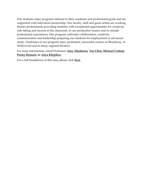Our students enjoy programs tailored to their academic and professional goals and are supported with individual mentorship. Our faculty, staff and guest artists are working theater professionals providing students with exceptional opportunities for creativity, risk-taking and success in the classroom, in our production season and in outside professional experiences. Our program cultivates collaboration, creativity, communication and leadership preparing our students for employment or advanced study. Graduates of our program enjoy prominent, successful careers on Broadway, in Hollywood and in many regional theaters.

For more information, email Professors **[Amy Altadonna](mailto:altadonna@theater.umass.edu)**, **[Yao Chen,](mailto:yao@umass.edu) [Michael Cottom,](mailto:mcottom@theater.umass.edu) [Penny Remsen,](mailto:remsen@theater.umass.edu) or [Anya Klepikov.](mailto:aklepikov@theater.umass.edu)**

For a full breakdown of this area, please click **[here](https://www.umass.edu/theater/design-production)**.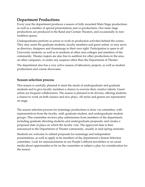# <span id="page-13-0"></span>**Department Productions**

Every year the department produces a season of fully mounted Main Stage productions as well as a number of special presentations and co-productions. Our main stage productions are produced in the Rand and Curtain Theaters, and occasionally in nontradition spaces.

Undergraduates perform as actors or work in production activities behind the scenes. They may assist the graduate students, faculty members and guest artists, or may serve as directors, designers and dramaturgs in their own right. Participation is open to all University students, as well as to students at other area colleges and members of the community. Theater majors are also free to audition for other productions in the area, on other campuses, or under any auspices other than the Department of Theater.

The department also has a very active season of laboratory projects, as well as student productions and course showcases.

#### <span id="page-13-1"></span>**Season selection process**

This season is carefully planned to meet the needs of undergraduate and graduate students and to give faculty members a chance to exercise their creative talents. Guest artists are frequent collaborators. The season is planned to be diverse, offering students a chance to work on both classics and new plays. All styles and genres are represented on stage.

The season selection process for mainstage productions is done via committee, with representatives from the faculty, staff, graduate student, and undergraduate student groups. This committee reviews play submissions from members of the department, including graduate directing students and undergraduate proposals, and creates a proposed slate of plays on which the faculty vote. The approved slate is then announced to the Department of Theater community, usually in mid-spring semester.

Students are welcome to submit proposals for mainstage and independent presentations, as well as apply to be members of the department's Season Selection committee. Look for announcements in our Purple Lobbyist newsletter or on social media about opportunities to be on the committee or subject a play for consideration for the season.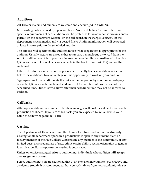## <span id="page-14-0"></span>**Auditions**

All Theater majors and minors are welcome and encouraged to **[audition](https://www.umass.edu/theater/auditions)**.

Most casting is determined by open auditions. Notices detailing the time, place, and specific requirements of each audition will be posted, as far in advance as circumstances permit, on the department website, on the call board, in the Purple Lobbyist, on the department's social media, and via posted flyers. Audition information will be posted at least 2 weeks prior to the scheduled audition.

The director will specify on the audition notice what preparation is appropriate for the audition. Usually, actors are asked either to prepare a monologue or to read from the script. In either case, it is in your best interest to be as familiar as possible with the play. QR codes for script downloads are available in the front office (FAC 112) and on the callboard.

Often a director or a member of the performance faculty leads an audition workshop before the auditions. Take advantage of this opportunity to work on your audition!

Sign up online for an audition via the links in the Purple Lobbyist or on our webpage, or on the QR code on the callboard, and arrive at the audition site well ahead of the scheduled time. Students who arrive after their scheduled time may not be allowed to audition.

# <span id="page-14-1"></span>**Callbacks**

After open auditions are complete, the stage manager will post the callback sheet on the production callboard. If you are called back, you are expected to initial next to your name to acknowledge the call back.

# <span id="page-14-2"></span>**Casting**

The Department of Theater is committed to racial, cultural and individual diversity. Casting for all department-sponsored productions is open to any student, staff, or faculty member of the Five College Consortium, any member of the community, or any invited guest artist regardless of race, ethnic origin, ability, sexual orientation or gender identification. Equal-opportunity casting is encouraged.

Unless otherwise arranged **prior** to auditioning, individuals who audition **will accept any assignment as cast.**

Before auditioning, you are cautioned that over-extension may hinder your creative and academic growth. It is recommended that you seek advice from your academic advisor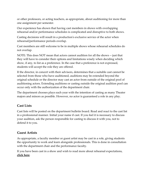or other professors, or acting teachers, as appropriate, about auditioning for more than one assignment per semester.

Our experience has shown that having cast members in shows with overlapping rehearsal and/or performance schedules is complicated and disruptive to both shows.

Casting decisions will result in a production's exclusive service of the actor when rehearsal/performance periods overlap.

Cast members are still welcome to be in multiple shows whose rehearsal schedules do not overlap.

NOTE: This does NOT mean that actors cannot audition for all the shows -- just that they will have to consider their options and limitations wisely when deciding which show, if any, to list as a preference. In the case that a preference is not expressed, students will accept the role they are offered.

If the director, in concert with their advisors, determines that a suitable cast cannot be selected from those who have auditioned, auditions may be extended beyond the original schedule or the director may cast an actor from outside of the original pool of auditioning actors. Extending auditions or casting outside the original audition pool can occur only with the authorization of the department chair.

The department chooses plays each year with the intention of casting as many Theater majors and minors as possible. However, no actor is guaranteed a role in any play.

### <span id="page-15-0"></span>**Cast Lists**

Cast lists will be posted on the department bulletin board. Read and react to the cast list in a professional manner. Initial your name if cast. If you feel it is necessary to discuss your audition, ask the person responsible for casting to discuss it with you, not to defend it to you.

### <span id="page-15-1"></span>**Guest Artists**

As appropriate, a faculty member or guest artist may be cast in a role, giving students the opportunity to work and learn alongside professionals. This is done in consultation with the department chair and the performance faculty.

If you have been cast in a show and wish to read more about rehearsal expectations, **[click here](https://www.umass.edu/theater/rehearsals-guidelines-and-expectations)**.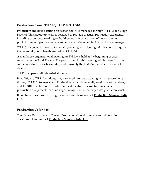#### <span id="page-16-0"></span>**Production Crew: TH 110, TH 210, TH 310**

Production and house staffing for season shows is managed through TH 110: Backstage Practice. This laboratory class is designed to provide practical production experience, including experience working on build crews, run crews, front of house staff and publicity crews. Specific crew assignments are determined by the production manager.

TH 110 is a one-credit course for which you are given a letter grade. Majors are required to successfully complete three credits of TH 110.

A mandatory organizational meeting for TH 110 is held at the beginning of each semester, in the Rand Theater. The precise date for this meeting will be posted on the course schedule for each semester, and is usually the first Monday after the start of classes.

TH 110 is open to all interested students.

In addition to TH 110, students may earn credit for participating in mainstage shows through TH 210: Rehearsal and Production, which is generally used for cast members, and TH 310: Theater Practice, which is used for students involved in advanced production assignments, such as stage manager, house manager, designer, crew chief.

If you have questions involving these courses, please contact **[Production Manager Julie](mailto:jafife@theater.umass.edu)  [Fife](mailto:jafife@theater.umass.edu)**.

#### <span id="page-16-1"></span>**Production Calendar**

The UMass Department of Theater Production Calendar may be found **[here](http://www.calendarwiz.com/umasstheater)**. For questions, please contact **[Production Manager Julie Fife](mailto:jafife@theater.umass.edu)**.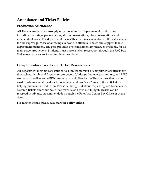# <span id="page-17-0"></span>**Attendance and Ticket Policies**

#### <span id="page-17-1"></span>**Production Attendance**

All Theater students are strongly urged to attend all departmental productions, including main stage performances, studio presentations, class presentations and independent work. The department makes Theater passes available to all theater majors for the express purpose of allowing everyone to attend all shows and support fellow department members. The pass provides one complimentary ticket, as available, for all main stage productions. Students must make a ticket reservation through the FAC Box Office to ensure access to a complimentary ticket.

#### <span id="page-17-2"></span>**Complimentary Tickets and Ticket Reservations**

All department members are entitled to a limited number of complimentary tickets for themselves, family and friends for our events. Undergraduate majors, minors, and MTC students, as well as some BDIC students, are eligible for the Theater pass that can be used in advance or at the door for one ticket and can "earn" an additional ticket by helping publicize a production. Please be thoughtful about requesting additional comps as comp tickets affect our box office revenue and thus our budget. Tickets can be reserved in advance (recommended) through the Fine Arts Center Box Office or at the door.

For further details, please read **[our full policy online](https://www.umass.edu/theater/complimentary-tickets-and-ticket-reservations)**.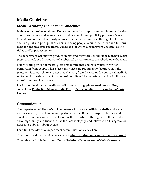# <span id="page-18-0"></span>**Media Guidelines**

## <span id="page-18-1"></span>**Media Recording and Sharing Guidelines**

Both external professionals and Department members capture audio, photos, and video of our productions and events for archival, academic, and publicity purposes. Some of these items are shared variously on social media, on our website, through local press, and in digital and print publicity items to bring people to our productions and to recruit them for our academic programs. Others are for internal department use only, due to rights and/or privacy issues.

The department will inform production cast and crew through the stage manager when press, archival, or other records of a rehearsal or performance are scheduled to be made.

Before sharing on social media, please make sure that you have verbal or written permission from people whose faces and voices are prominently featured, or, if the photo or video you share was not made by you, from the creator. If your social media is set to public, the department may repost your item. The department will not follow or repost from private accounts.

For further details about media recording and sharing, **[please read more online](https://www.umass.edu/theater/media-recording-and-sharing-guidelines)**, or consult our **[Production Manager Julie Fife](mailto:jafife@theater.umass.edu)** or **[Public Relations Director Anna-Maria](mailto:agoossen@umass.edu)  [Goossens.](mailto:agoossen@umass.edu)**

### <span id="page-18-2"></span>**Communication**

The Department of Theater's online presence includes an **[official website](http://www.umass.edu/theater)** and social media accounts, as well as an in-department newsletter (The Purple Lobbyist), and email list. Students are welcome to follow the department through all of these, and to encourage family and friends to like the Facebook page and follow us on Instagram for news and publicity about events.

For a full breakdown of department communications, **[click here](https://www.umass.edu/theater/communication)**.

To receive the department emails, contact **[administrative assistant Bethany Sherwood](mailto:bsherwood@theater.umass.edu)**. To receive the Lobbyist, contact **[Public Relations Director Anna-Maria Goossens](mailto:agoossen@umass.edu)**.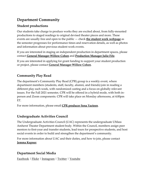# <span id="page-19-0"></span>**Department Community**

#### <span id="page-19-1"></span>**Student productions**

Our students take charge to produce works they are excited about, from fully-mounted productions to staged readings to original devised theater pieces and more. These events are usually free and open to the public — check **[the student work webpage](https://www.umass.edu/theater/student-work)** as the semester progresses for performance times and reservation details, as well as photos and information about previous student work events.

If you are interested in staging an independent production in department spaces, please contact **[General Manager Willow Cohen](mailto:willow@theater.umass.edu)** and **[Production Manager Julie Fife](mailto:jafife@theater.umass.edu)**.

If you are interested in applying for grant funding to support your student production or project, please contact **[General Manager Willow Cohen](mailto:willow@theater.umass.edu)**.

### <span id="page-19-2"></span>**Community Play Read**

The department's Community Play Read (CPR) group is a weekly event, where department members (students, staff, faculty, alumni, and friends) join in reading a different play each week, with randomized casting and a focus on globally relevant issues. For the Fall 2021 semester, CPR will be offered in a hybrid mode, with both inperson and Zoom components. CPR will take place on Monday afternoons, at 4:00pm ET.

For more information, please email **[CPR producer Sena Yacteen](mailto:syacteen@umass.edu)**.

### <span id="page-19-3"></span>**Undergraduate Activities Council**

The Undergraduate Activities Council (UAC) represents the undergraduate UMass Amherst Theater Department student body. Within the Council, members assign peer mentors to first-year and transfer students, lead tours for prospective students, and host social events in order to build and strengthen the department's community.

For more information about UAC and their duties, and how to join, please contact **[Jemma Kepner](mailto:jkepner@umass.edu)**.

#### <span id="page-19-4"></span>**Department Social Media**

[Facebook](https://www.facebook.com/UMass-Amherst-Theater-364984540197022/) | [Flickr](https://www.flickr.com/photos/149000483@N07/) | [Instagram](https://www.instagram.com/umassamhersttheater/) | [Twitter](https://twitter.com/umasstheater) | [Youtube](https://www.youtube.com/user/UMassTheater)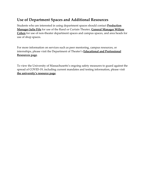# <span id="page-20-0"></span>**Use of Department Spaces and Additional Resources**

Students who are interested in using department spaces should contact **[Production](mailto:jafife@theater.umass.edu)  [Manager Julie Fife](mailto:jafife@theater.umass.edu)** for use of the Rand or Curtain Theater, **[General Manager Willow](mailto:willow@theater.umass.edu)  [Cohen](mailto:willow@theater.umass.edu)** for use of non-theater department spaces and campus spaces, and area heads for use of shop spaces.

For more information on services such as peer mentoring, campus resources, or internships, please visit the Department of Theater's **[Educational and Professional](https://www.umass.edu/theater/resources-theater)  [Resources page](https://www.umass.edu/theater/resources-theater)**.

To view the University of Massachusetts's ongoing safety measures to guard against the spread of COVID-19, including current mandates and testing information, please visit **[the university's resource page](https://www.umass.edu/coronavirus/?_gl=1*3fqe0z*_ga*MTMzMzk5MTQ3NC4xNTA0MTIzNzE3*_ga_21RLS0L7EB*MTYzMDQzODU1Ny4yMzIuMS4xNjMwNDM5MTY3LjA.&_ga=2.65183854.1521255253.1630330968-1333991474.1504123717)**.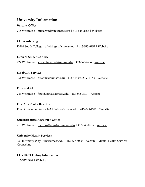# <span id="page-21-0"></span>**University Information**

#### **Bursar's Office**

215 Whitmore | [bursar@admin.umass.edu](mailto:bursar@admin.umass.edu) | 413-545-2368 | [Website](https://www.umass.edu/bursar/)

#### **CHFA Advising**

E-202 South College | advising@hfa.umass.edu | 413-545-6152 | [Website](https://www.umass.edu/hfa/advising)

#### **Dean of Students Office**

227 Whitmore | [studentconduct@umass.edu](mailto:studentconduct@umass.edu) | 413-545-2684 | [Website](https://www.umass.edu/dean_students/)

#### **Disability Services**

161 Whitmore | [disability@umass.edu](mailto:disability@umass.edu) | 413-545-0892 (V/TTY) | [Website](https://www.umass.edu/disability/)

#### **Financial Aid**

243 Whitmore | [finaid@finaid.umass.edu](mailto:finaid@finaid.umass.edu) | 413-545-0801 | [Website](https://www.umass.edu/financialaid/financial-aid-services)

#### **Fine Arts Center Box office**

Fine Arts Center Room 143 | [facbox@umass.edu](mailto:facbox@umass.edu) | 413-545-2511 | [Website](https://fac.umass.edu/Online/default.asp?BOparam::WScontent::loadArticle::permalink=BoxOfficeHours&BOparam::WScontent::loadArticle::context_id=)

#### **Undergraduate Registrar's Office**

213 Whitmore | [regtrans@registrar.umass.edu](mailto:regtrans@registrar.umass.edu) | 413-545-0555 | [Website](https://www.umass.edu/registrar/information-and-services)

#### **University Health Services**

150 Infirmary Way | [uhs@umass.edu](mailto:uhs@umass.edu) | 413-577-5000 | [Website](https://www.umass.edu/uhs/) | Mental Health Services **[Counseling](https://www.umass.edu/counseling/)** 

#### **COVID-19 Testing Information**

413-577-2999 | [Website](https://www.umass.edu/uhs/covid-19-testing)